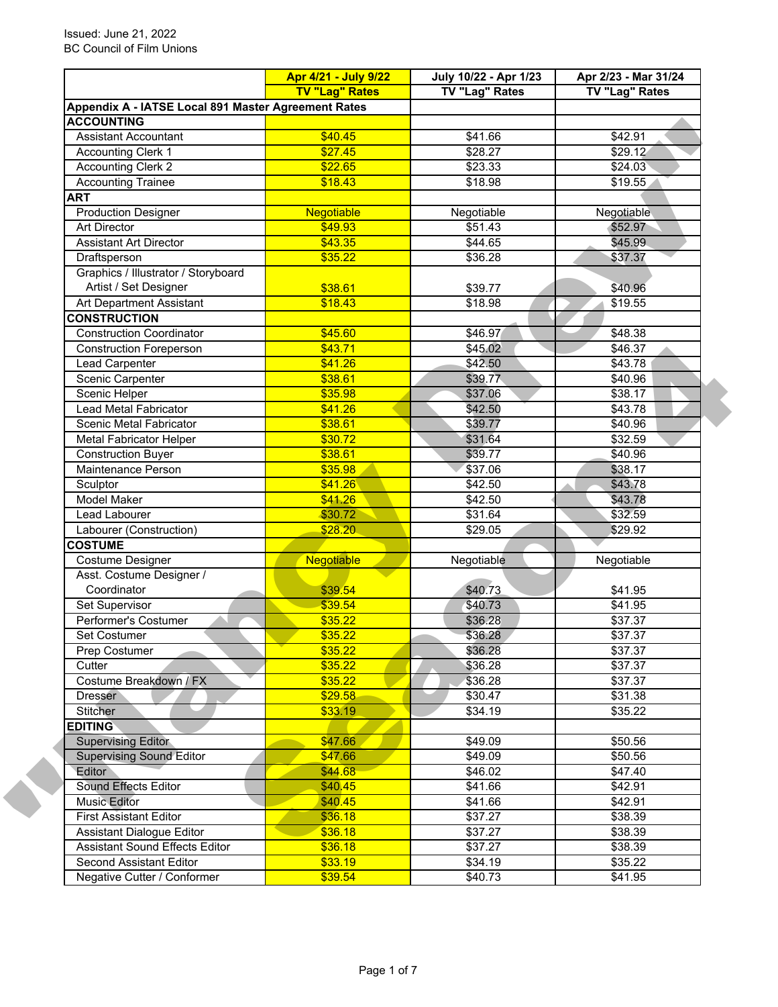|                                                     | <b>TV "Lag" Rates</b> | <b>TV "Lag" Rates</b> | TV "Lag" Rates     |
|-----------------------------------------------------|-----------------------|-----------------------|--------------------|
| Appendix A - IATSE Local 891 Master Agreement Rates |                       |                       |                    |
| <b>ACCOUNTING</b>                                   |                       |                       |                    |
| <b>Assistant Accountant</b>                         | \$40.45               | \$41.66               | \$42.91            |
| <b>Accounting Clerk 1</b>                           | \$27.45               | \$28.27               | \$29.12            |
| <b>Accounting Clerk 2</b>                           | \$22.65               | \$23.33               | \$24.03            |
| <b>Accounting Trainee</b>                           | \$18.43               | \$18.98               | \$19.55            |
| <b>ART</b>                                          |                       |                       |                    |
| <b>Production Designer</b>                          | Negotiable            | Negotiable            | Negotiable         |
| Art Director                                        | \$49.93               | \$51.43               | \$52.97            |
| <b>Assistant Art Director</b>                       | \$43.35               | \$44.65               | \$45.99            |
| Draftsperson                                        | \$35.22               | \$36.28               | \$37.37            |
| Graphics / Illustrator / Storyboard                 |                       |                       |                    |
| Artist / Set Designer                               | \$38.61               | \$39.77               | \$40.96            |
| Art Department Assistant                            | \$18.43               | \$18.98               | \$19.55            |
| <b>CONSTRUCTION</b>                                 |                       |                       |                    |
| <b>Construction Coordinator</b>                     | \$45.60               | \$46.97               | \$48.38            |
| <b>Construction Foreperson</b>                      | \$43.71               | \$45.02               | \$46.37            |
|                                                     |                       |                       |                    |
| Lead Carpenter                                      | \$41.26               | \$42.50               | \$43.78<br>\$40.96 |
| Scenic Carpenter                                    | \$38.61               | \$39.77               |                    |
| Scenic Helper                                       | \$35.98               | \$37.06               | \$38.17<br>\$43.78 |
| Lead Metal Fabricator                               | \$41.26               | \$42.50               |                    |
| Scenic Metal Fabricator                             | \$38.61               | \$39.77               | \$40.96            |
| <b>Metal Fabricator Helper</b>                      | \$30.72               | \$31.64               | \$32.59            |
| <b>Construction Buyer</b>                           | \$38.61               | \$39.77               | \$40.96            |
| Maintenance Person                                  | \$35.98               | \$37.06               | \$38.17            |
| Sculptor                                            | \$41.26               | \$42.50               | \$43.78            |
| <b>Model Maker</b>                                  | \$41.26               | \$42.50               | \$43.78            |
| Lead Labourer                                       | \$30.72               | \$31.64               | \$32.59            |
| Labourer (Construction)                             | \$28.20               | \$29.05               | \$29.92            |
| <b>COSTUME</b>                                      |                       |                       |                    |
| Costume Designer                                    | <b>Negotiable</b>     | Negotiable            | Negotiable         |
| Asst. Costume Designer /                            |                       |                       |                    |
| Coordinator                                         | \$39.54               | \$40.73               | \$41.95            |
| Set Supervisor                                      | \$39.54               | \$40.73               | \$41.95            |
| Performer's Costumer                                | \$35.22               | \$36.28               | \$37.37            |
| Set Costumer                                        | \$35.22               | \$36.28               | \$37.37            |
| Prep Costumer                                       | \$35.22               | \$36.28               | \$37.37            |
| Cutter                                              | \$35.22               | \$36.28               | \$37.37            |
| Costume Breakdown / FX                              | \$35.22               | \$36.28               | \$37.37            |
| <b>Dresser</b>                                      | \$29.58               | \$30.47               | \$31.38            |
| Stitcher                                            | \$33.19               | \$34.19               | \$35.22            |
| <b>EDITING</b>                                      |                       |                       |                    |
| <b>Supervising Editor</b>                           | \$47.66               | \$49.09               | \$50.56            |
| <b>Supervising Sound Editor</b>                     | \$47.66               | \$49.09               | \$50.56            |
| Editor                                              | \$44.68               | \$46.02               | \$47.40            |
| Sound Effects Editor                                | \$40.45               | \$41.66               | \$42.91            |
| <b>Music Editor</b>                                 | \$40.45               | \$41.66               | \$42.91            |
| <b>First Assistant Editor</b>                       | \$36.18               | \$37.27               | \$38.39            |
| Assistant Dialogue Editor                           | \$36.18               | \$37.27               | \$38.39            |
| Assistant Sound Effects Editor                      | \$36.18               | \$37.27               | \$38.39            |
| Second Assistant Editor                             | \$33.19               | \$34.19               | \$35.22            |
| Negative Cutter / Conformer                         | \$39.54               | \$40.73               | \$41.95            |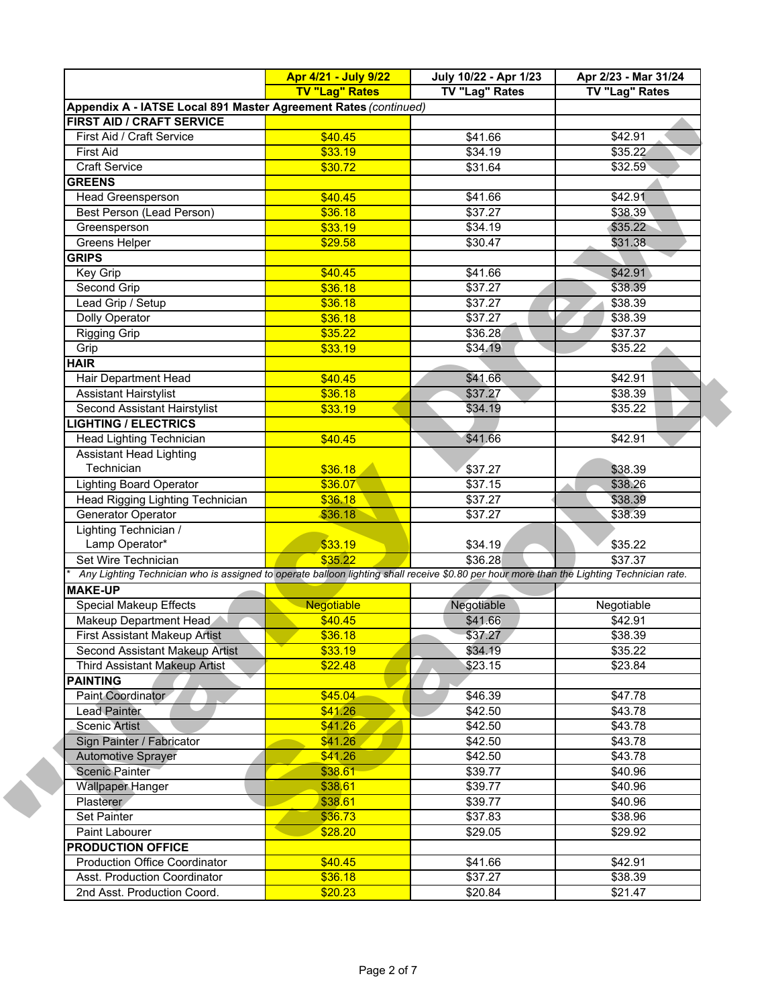|                                                                                                                                           | Apr 4/21 - July 9/22  | July 10/22 - Apr 1/23 | Apr 2/23 - Mar 31/24 |
|-------------------------------------------------------------------------------------------------------------------------------------------|-----------------------|-----------------------|----------------------|
|                                                                                                                                           | <b>TV "Lag" Rates</b> | TV "Lag" Rates        | TV "Lag" Rates       |
| Appendix A - IATSE Local 891 Master Agreement Rates (continued)                                                                           |                       |                       |                      |
| FIRST AID / CRAFT SERVICE                                                                                                                 |                       |                       |                      |
| First Aid / Craft Service                                                                                                                 | \$40.45               | \$41.66               | \$42.91              |
| <b>First Aid</b>                                                                                                                          | \$33.19               | \$34.19               | \$35.22              |
| <b>Craft Service</b>                                                                                                                      | \$30.72               | \$31.64               | \$32.59              |
| <b>GREENS</b>                                                                                                                             |                       |                       |                      |
| Head Greensperson                                                                                                                         | \$40.45               | \$41.66               | \$42.91              |
| <b>Best Person (Lead Person)</b>                                                                                                          | \$36.18               | \$37.27               | \$38.39              |
| Greensperson                                                                                                                              | \$33.19               | \$34.19               | \$35.22              |
| <b>Greens Helper</b>                                                                                                                      | \$29.58               | \$30.47               | \$31.38              |
| <b>GRIPS</b>                                                                                                                              |                       |                       |                      |
| Key Grip                                                                                                                                  | \$40.45               | \$41.66               | \$42.91              |
| Second Grip                                                                                                                               | \$36.18               | \$37.27               | \$38.39              |
| Lead Grip / Setup                                                                                                                         | \$36.18               | \$37.27               | \$38.39              |
| Dolly Operator                                                                                                                            | \$36.18               | \$37.27               | \$38.39              |
| <b>Rigging Grip</b>                                                                                                                       | \$35.22               | \$36.28               | \$37.37              |
| Grip                                                                                                                                      | \$33.19               | \$34.19               | \$35.22              |
| <b>HAIR</b>                                                                                                                               |                       |                       |                      |
| Hair Department Head                                                                                                                      | \$40.45               | \$41.66               | \$42.91              |
| <b>Assistant Hairstylist</b>                                                                                                              | \$36.18               | \$37.27               | \$38.39              |
| Second Assistant Hairstylist                                                                                                              | \$33.19               | \$34.19               | \$35.22              |
| <b>LIGHTING / ELECTRICS</b>                                                                                                               |                       |                       |                      |
| Head Lighting Technician                                                                                                                  | \$40.45               | \$41.66               | \$42.91              |
| <b>Assistant Head Lighting</b>                                                                                                            |                       |                       |                      |
| Technician                                                                                                                                | \$36.18               | \$37.27               | \$38.39              |
| <b>Lighting Board Operator</b>                                                                                                            | \$36.07               | \$37.15               | \$38.26              |
| Head Rigging Lighting Technician                                                                                                          | \$36.18               | \$37.27               | \$38.39              |
| Generator Operator                                                                                                                        | \$36.18               | \$37.27               | \$38.39              |
| Lighting Technician /                                                                                                                     |                       |                       |                      |
| Lamp Operator*                                                                                                                            | \$33.19               | \$34.19               | \$35.22              |
| Set Wire Technician                                                                                                                       | \$35.22               | \$36.28               | \$37.37              |
| Any Lighting Technician who is assigned to operate balloon lighting shall receive \$0.80 per hour more than the Lighting Technician rate. |                       |                       |                      |
| <b>MAKE-UP</b>                                                                                                                            |                       |                       |                      |
| <b>Special Makeup Effects</b>                                                                                                             | <b>Negotiable</b>     | Negotiable            | Negotiable           |
| Makeup Department Head                                                                                                                    | \$40.45               | \$41.66               | \$42.91              |
| <b>First Assistant Makeup Artist</b>                                                                                                      | \$36.18               | \$37.27               | \$38.39              |
| Second Assistant Makeup Artist                                                                                                            | \$33.19               | \$34.19               | \$35.22              |
| Third Assistant Makeup Artist                                                                                                             | \$22.48               | \$23.15               | \$23.84              |
| <b>PAINTING</b>                                                                                                                           |                       |                       |                      |
| Paint Coordinator                                                                                                                         | \$45.04               | \$46.39               | \$47.78              |
| <b>Lead Painter</b>                                                                                                                       | \$41.26               | \$42.50               | \$43.78              |
| Scenic Artist                                                                                                                             | \$41.26               | \$42.50               | \$43.78              |
| Sign Painter / Fabricator                                                                                                                 | \$41.26               | \$42.50               | \$43.78              |
|                                                                                                                                           | \$41.26               | \$42.50               | \$43.78              |
| <b>Automotive Sprayer</b>                                                                                                                 |                       |                       |                      |
| <b>Scenic Painter</b>                                                                                                                     | \$38.61               | \$39.77               | \$40.96              |
| <b>Wallpaper Hanger</b>                                                                                                                   | \$38.61               | \$39.77               | \$40.96              |
| Plasterer                                                                                                                                 | \$38.61               | \$39.77               | \$40.96              |
| Set Painter                                                                                                                               | \$36.73               | \$37.83               | \$38.96              |
| Paint Labourer                                                                                                                            | \$28.20               | \$29.05               | \$29.92              |
| <b>PRODUCTION OFFICE</b>                                                                                                                  |                       |                       |                      |
| <b>Production Office Coordinator</b>                                                                                                      | \$40.45               | \$41.66               | \$42.91              |
| Asst. Production Coordinator                                                                                                              | \$36.18               | \$37.27               | \$38.39              |
| 2nd Asst. Production Coord.                                                                                                               | \$20.23               | \$20.84               | \$21.47              |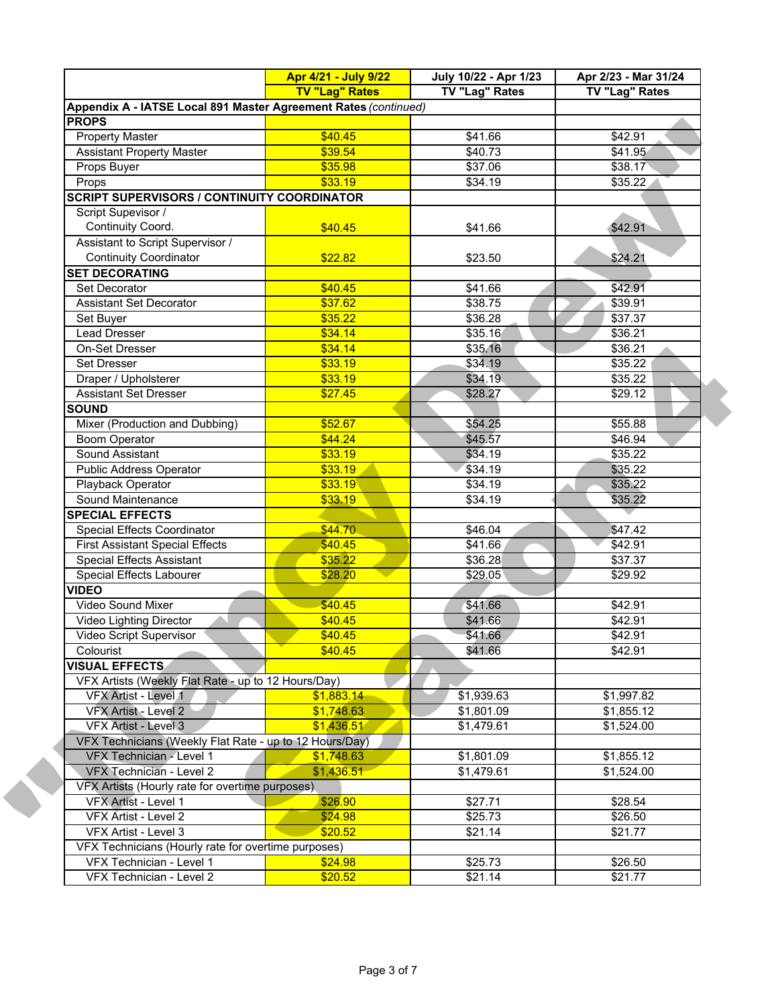|                                                                 | Apr 4/21 - July 9/22<br><b>TV "Lag" Rates</b> | July 10/22 - Apr 1/23<br>TV "Lag" Rates | Apr 2/23 - Mar 31/24<br>TV "Lag" Rates |
|-----------------------------------------------------------------|-----------------------------------------------|-----------------------------------------|----------------------------------------|
| Appendix A - IATSE Local 891 Master Agreement Rates (continued) |                                               |                                         |                                        |
| <b>PROPS</b>                                                    |                                               |                                         |                                        |
| <b>Property Master</b>                                          | \$40.45                                       | \$41.66                                 | \$42.91                                |
| <b>Assistant Property Master</b>                                | \$39.54                                       | \$40.73                                 | \$41.95                                |
| Props Buyer                                                     | \$35.98                                       | \$37.06                                 | \$38.17                                |
| Props                                                           | \$33.19                                       | \$34.19                                 | \$35.22                                |
| <b>SCRIPT SUPERVISORS / CONTINUITY COORDINATOR</b>              |                                               |                                         |                                        |
| Script Supevisor /                                              |                                               |                                         |                                        |
| Continuity Coord.                                               | \$40.45                                       | \$41.66                                 | \$42.91                                |
| Assistant to Script Supervisor /                                |                                               |                                         |                                        |
| <b>Continuity Coordinator</b>                                   | \$22.82                                       | \$23.50                                 | \$24.21                                |
| <b>SET DECORATING</b>                                           |                                               |                                         |                                        |
|                                                                 |                                               |                                         |                                        |
| Set Decorator                                                   | \$40.45                                       | \$41.66                                 | \$42.91                                |
| <b>Assistant Set Decorator</b>                                  | \$37.62                                       | \$38.75                                 | \$39.91                                |
| Set Buyer                                                       | \$35.22                                       | \$36.28                                 | \$37.37                                |
| Lead Dresser                                                    | \$34.14                                       | \$35.16                                 | \$36.21                                |
| On-Set Dresser                                                  | \$34.14                                       | \$35.16                                 | \$36.21                                |
| <b>Set Dresser</b>                                              | \$33.19                                       | \$34.19                                 | \$35.22                                |
| Draper / Upholsterer                                            | \$33.19                                       | \$34.19                                 | \$35.22                                |
| <b>Assistant Set Dresser</b>                                    | \$27.45                                       | \$28.27                                 | \$29.12                                |
| <b>SOUND</b>                                                    |                                               |                                         |                                        |
| Mixer (Production and Dubbing)                                  | \$52.67                                       | \$54.25                                 | \$55.88                                |
| Boom Operator                                                   | \$44.24                                       | \$45.57                                 | \$46.94                                |
| Sound Assistant                                                 | \$33.19                                       | \$34.19                                 | \$35.22                                |
| Public Address Operator                                         | \$33.19                                       | \$34.19                                 | \$35.22                                |
| Playback Operator                                               | \$33.19                                       | \$34.19                                 | \$35.22                                |
| Sound Maintenance                                               | \$33.19                                       | \$34.19                                 | \$35.22                                |
| <b>SPECIAL EFFECTS</b>                                          |                                               |                                         |                                        |
| Special Effects Coordinator                                     | \$44.70                                       | \$46.04                                 | \$47.42                                |
| <b>First Assistant Special Effects</b>                          | \$40.45                                       | \$41.66                                 | \$42.91                                |
| <b>Special Effects Assistant</b>                                | \$35.22                                       | \$36.28                                 | \$37.37                                |
| Special Effects Labourer                                        | \$28.20                                       | \$29.05                                 | \$29.92                                |
| <b>VIDEO</b>                                                    |                                               |                                         |                                        |
| <b>Video Sound Mixer</b>                                        | \$40.45                                       | \$41.66                                 | \$42.91                                |
| Video Lighting Director                                         | \$40.45                                       | \$41.66                                 | \$42.91                                |
| Video Script Supervisor                                         | \$40.45                                       | \$41.66                                 | \$42.91                                |
| Colourist                                                       | \$40.45                                       | \$41.66                                 | \$42.91                                |
| <b>VISUAL EFFECTS</b>                                           |                                               |                                         |                                        |
| VFX Artists (Weekly Flat Rate - up to 12 Hours/Day)             |                                               |                                         |                                        |
| VFX Artist - Level 1                                            | \$1,883.14                                    | \$1,939.63                              | \$1,997.82                             |
| VFX Artist - Level 2                                            | \$1,748.63                                    | \$1,801.09                              | \$1,855.12                             |
| VFX Artist - Level 3                                            | \$1,436.51                                    | \$1,479.61                              | \$1,524.00                             |
| VFX Technicians (Weekly Flat Rate - up to 12 Hours/Day)         |                                               |                                         |                                        |
| VFX Technician - Level 1                                        | \$1,748.63                                    | \$1,801.09                              | \$1,855.12                             |
| VFX Technician - Level 2                                        | \$1,436.51                                    | \$1,479.61                              | \$1,524.00                             |
| VFX Artists (Hourly rate for overtime purposes)                 |                                               |                                         |                                        |
| VFX Artist - Level 1                                            | \$26.90                                       | \$27.71                                 | \$28.54                                |
| VFX Artist - Level 2                                            | \$24.98                                       | \$25.73                                 | \$26.50                                |
| VFX Artist - Level 3                                            | \$20.52                                       | \$21.14                                 | \$21.77                                |
| VFX Technicians (Hourly rate for overtime purposes)             |                                               |                                         |                                        |
| VFX Technician - Level 1                                        | \$24.98                                       | \$25.73                                 | \$26.50                                |
|                                                                 | \$20.52                                       | \$21.14                                 | \$21.77                                |